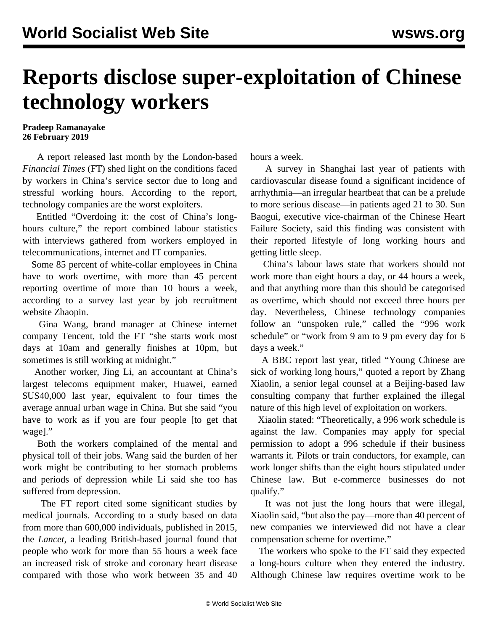## **Reports disclose super-exploitation of Chinese technology workers**

## **Pradeep Ramanayake 26 February 2019**

 A report released last month by the London-based *Financial Times* (FT) shed light on the conditions faced by workers in China's service sector due to long and stressful working hours. According to the report, technology companies are the worst exploiters.

 Entitled "Overdoing it: the cost of China's longhours culture," the report combined labour statistics with interviews gathered from workers employed in telecommunications, internet and IT companies.

 Some 85 percent of white-collar employees in China have to work overtime, with more than 45 percent reporting overtime of more than 10 hours a week, according to a survey last year by job recruitment website Zhaopin.

 Gina Wang, brand manager at Chinese internet company Tencent, told the FT "she starts work most days at 10am and generally finishes at 10pm, but sometimes is still working at midnight."

 Another worker, Jing Li, an accountant at China's largest telecoms equipment maker, Huawei, earned \$US40,000 last year, equivalent to four times the average annual urban wage in China. But she said "you have to work as if you are four people [to get that wage]."

 Both the workers complained of the mental and physical toll of their jobs. Wang said the burden of her work might be contributing to her stomach problems and periods of depression while Li said she too has suffered from depression.

 The FT report cited some significant studies by medical journals. According to a study based on data from more than 600,000 individuals, published in 2015, the *Lancet*, a leading British-based journal found that people who work for more than 55 hours a week face an increased risk of stroke and coronary heart disease compared with those who work between 35 and 40 hours a week.

 A survey in Shanghai last year of patients with cardiovascular disease found a significant incidence of arrhythmia—an irregular heartbeat that can be a prelude to more serious disease—in patients aged 21 to 30. Sun Baogui, executive vice-chairman of the Chinese Heart Failure Society, said this finding was consistent with their reported lifestyle of long working hours and getting little sleep.

 China's labour laws state that workers should not work more than eight hours a day, or 44 hours a week, and that anything more than this should be categorised as overtime, which should not exceed three hours per day. Nevertheless, Chinese technology companies follow an "unspoken rule," called the "996 work schedule" or "work from 9 am to 9 pm every day for 6 days a week."

 A BBC report last year, titled "Young Chinese are sick of working long hours," quoted a report by Zhang Xiaolin, a senior legal counsel at a Beijing-based law consulting company that further explained the illegal nature of this high level of exploitation on workers.

 Xiaolin stated: "Theoretically, a 996 work schedule is against the law. Companies may apply for special permission to adopt a 996 schedule if their business warrants it. Pilots or train conductors, for example, can work longer shifts than the eight hours stipulated under Chinese law. But e-commerce businesses do not qualify."

 It was not just the long hours that were illegal, Xiaolin said, "but also the pay—more than 40 percent of new companies we interviewed did not have a clear compensation scheme for overtime."

 The workers who spoke to the FT said they expected a long-hours culture when they entered the industry. Although Chinese law requires overtime work to be